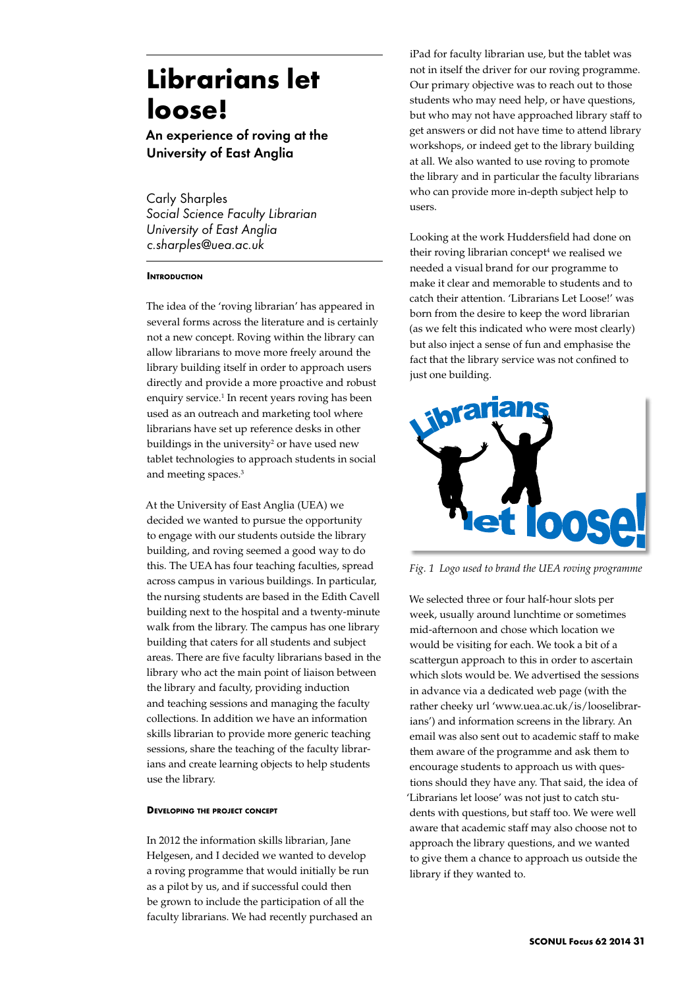# **Librarians let loose!**

An experience of roving at the University of East Anglia

Carly Sharples *Social Science Faculty Librarian University of East Anglia c.sharples@uea.ac.uk*

# **INTRODUCTION**

The idea of the 'roving librarian' has appeared in several forms across the literature and is certainly not a new concept. Roving within the library can allow librarians to move more freely around the library building itself in order to approach users directly and provide a more proactive and robust enquiry service.<sup>1</sup> In recent years roving has been used as an outreach and marketing tool where librarians have set up reference desks in other buildings in the university<sup>2</sup> or have used new tablet technologies to approach students in social and meeting spaces.<sup>3</sup>

At the University of East Anglia (UEA) we decided we wanted to pursue the opportunity to engage with our students outside the library building, and roving seemed a good way to do this. The UEA has four teaching faculties, spread across campus in various buildings. In particular, the nursing students are based in the Edith Cavell building next to the hospital and a twenty-minute walk from the library. The campus has one library building that caters for all students and subject areas. There are five faculty librarians based in the library who act the main point of liaison between the library and faculty, providing induction and teaching sessions and managing the faculty collections. In addition we have an information skills librarian to provide more generic teaching sessions, share the teaching of the faculty librarians and create learning objects to help students use the library.

## **Developing the project concept**

In 2012 the information skills librarian, Jane Helgesen, and I decided we wanted to develop a roving programme that would initially be run as a pilot by us, and if successful could then be grown to include the participation of all the faculty librarians. We had recently purchased an iPad for faculty librarian use, but the tablet was not in itself the driver for our roving programme. Our primary objective was to reach out to those students who may need help, or have questions, but who may not have approached library staff to get answers or did not have time to attend library workshops, or indeed get to the library building at all. We also wanted to use roving to promote the library and in particular the faculty librarians who can provide more in-depth subject help to users.

Looking at the work Huddersfield had done on their roving librarian concept<sup>4</sup> we realised we needed a visual brand for our programme to make it clear and memorable to students and to catch their attention. 'Librarians Let Loose!' was born from the desire to keep the word librarian (as we felt this indicated who were most clearly) but also inject a sense of fun and emphasise the fact that the library service was not confined to just one building.



*Fig. 1 Logo used to brand the UEA roving programme*

We selected three or four half-hour slots per week, usually around lunchtime or sometimes mid-afternoon and chose which location we would be visiting for each. We took a bit of a scattergun approach to this in order to ascertain which slots would be. We advertised the sessions in advance via a dedicated web page (with the rather cheeky url 'www.uea.ac.uk/is/looselibrarians') and information screens in the library. An email was also sent out to academic staff to make them aware of the programme and ask them to encourage students to approach us with questions should they have any. That said, the idea of 'Librarians let loose' was not just to catch students with questions, but staff too. We were well aware that academic staff may also choose not to approach the library questions, and we wanted to give them a chance to approach us outside the library if they wanted to.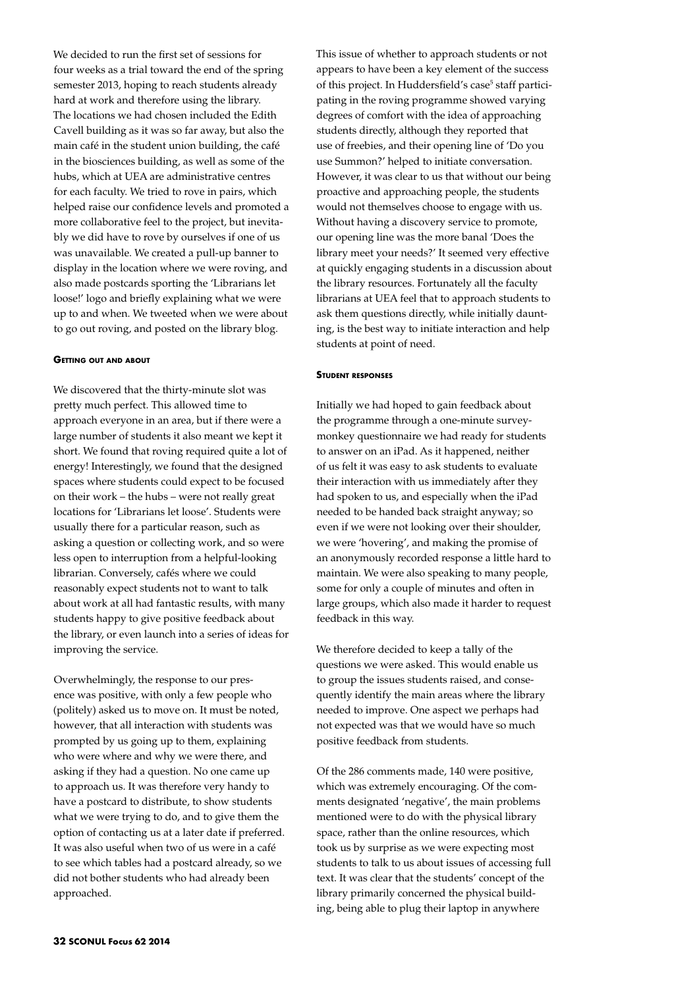We decided to run the first set of sessions for four weeks as a trial toward the end of the spring semester 2013, hoping to reach students already hard at work and therefore using the library. The locations we had chosen included the Edith Cavell building as it was so far away, but also the main café in the student union building, the café in the biosciences building, as well as some of the hubs, which at UEA are administrative centres for each faculty. We tried to rove in pairs, which helped raise our confidence levels and promoted a more collaborative feel to the project, but inevitably we did have to rove by ourselves if one of us was unavailable. We created a pull-up banner to display in the location where we were roving, and also made postcards sporting the 'Librarians let loose!' logo and briefly explaining what we were up to and when. We tweeted when we were about to go out roving, and posted on the library blog.

## **Getting out and about**

We discovered that the thirty-minute slot was pretty much perfect. This allowed time to approach everyone in an area, but if there were a large number of students it also meant we kept it short. We found that roving required quite a lot of energy! Interestingly, we found that the designed spaces where students could expect to be focused on their work – the hubs – were not really great locations for 'Librarians let loose'. Students were usually there for a particular reason, such as asking a question or collecting work, and so were less open to interruption from a helpful-looking librarian. Conversely, cafés where we could reasonably expect students not to want to talk about work at all had fantastic results, with many students happy to give positive feedback about the library, or even launch into a series of ideas for improving the service.

Overwhelmingly, the response to our presence was positive, with only a few people who (politely) asked us to move on. It must be noted, however, that all interaction with students was prompted by us going up to them, explaining who were where and why we were there, and asking if they had a question. No one came up to approach us. It was therefore very handy to have a postcard to distribute, to show students what we were trying to do, and to give them the option of contacting us at a later date if preferred. It was also useful when two of us were in a café to see which tables had a postcard already, so we did not bother students who had already been approached.

This issue of whether to approach students or not appears to have been a key element of the success of this project. In Huddersfield's case<sup>5</sup> staff participating in the roving programme showed varying degrees of comfort with the idea of approaching students directly, although they reported that use of freebies, and their opening line of 'Do you use Summon?' helped to initiate conversation. However, it was clear to us that without our being proactive and approaching people, the students would not themselves choose to engage with us. Without having a discovery service to promote, our opening line was the more banal 'Does the library meet your needs?' It seemed very effective at quickly engaging students in a discussion about the library resources. Fortunately all the faculty librarians at UEA feel that to approach students to ask them questions directly, while initially daunting, is the best way to initiate interaction and help students at point of need.

#### **Student responses**

Initially we had hoped to gain feedback about the programme through a one-minute surveymonkey questionnaire we had ready for students to answer on an iPad. As it happened, neither of us felt it was easy to ask students to evaluate their interaction with us immediately after they had spoken to us, and especially when the iPad needed to be handed back straight anyway; so even if we were not looking over their shoulder, we were 'hovering', and making the promise of an anonymously recorded response a little hard to maintain. We were also speaking to many people, some for only a couple of minutes and often in large groups, which also made it harder to request feedback in this way.

We therefore decided to keep a tally of the questions we were asked. This would enable us to group the issues students raised, and consequently identify the main areas where the library needed to improve. One aspect we perhaps had not expected was that we would have so much positive feedback from students.

Of the 286 comments made, 140 were positive, which was extremely encouraging. Of the comments designated 'negative', the main problems mentioned were to do with the physical library space, rather than the online resources, which took us by surprise as we were expecting most students to talk to us about issues of accessing full text. It was clear that the students' concept of the library primarily concerned the physical building, being able to plug their laptop in anywhere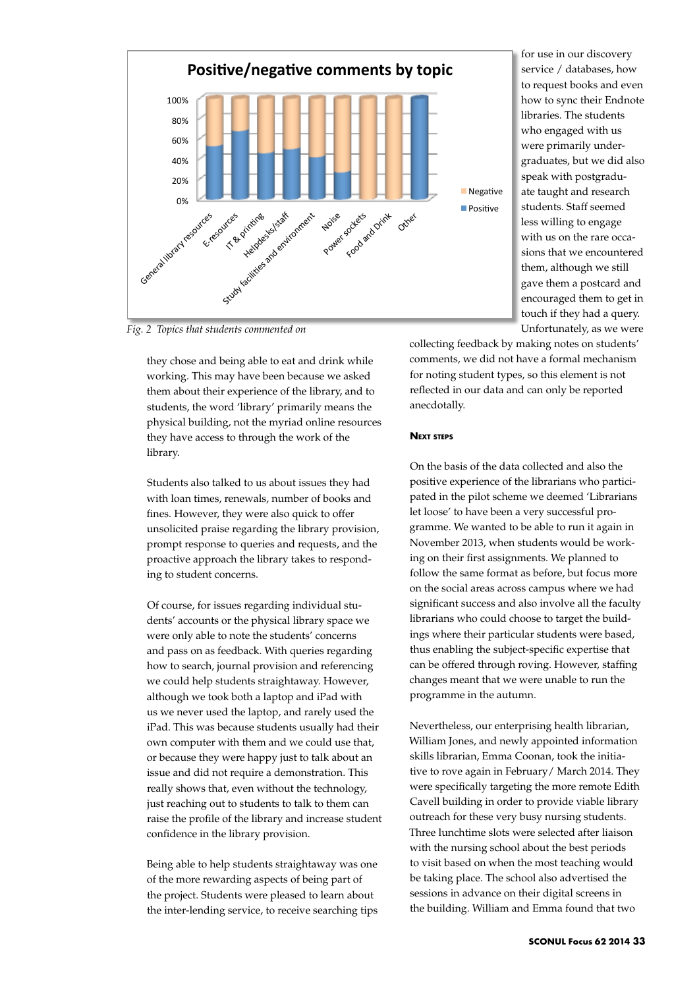

for use in our discovery service / databases, how to request books and even how to sync their Endnote libraries. The students who engaged with us were primarily undergraduates, but we did also speak with postgraduate taught and research students. Staff seemed less willing to engage with us on the rare occasions that we encountered them, although we still gave them a postcard and encouraged them to get in touch if they had a query. Unfortunately, as we were

*Fig. 2 Topics that students commented on*

they chose and being able to eat and drink while working. This may have been because we asked them about their experience of the library, and to students, the word 'library' primarily means the physical building, not the myriad online resources they have access to through the work of the library.

Students also talked to us about issues they had with loan times, renewals, number of books and fines. However, they were also quick to offer unsolicited praise regarding the library provision, prompt response to queries and requests, and the proactive approach the library takes to responding to student concerns.

Of course, for issues regarding individual students' accounts or the physical library space we were only able to note the students' concerns and pass on as feedback. With queries regarding how to search, journal provision and referencing we could help students straightaway. However, although we took both a laptop and iPad with us we never used the laptop, and rarely used the iPad. This was because students usually had their own computer with them and we could use that, or because they were happy just to talk about an issue and did not require a demonstration. This really shows that, even without the technology, just reaching out to students to talk to them can raise the profile of the library and increase student confidence in the library provision.

Being able to help students straightaway was one of the more rewarding aspects of being part of the project. Students were pleased to learn about the inter-lending service, to receive searching tips

collecting feedback by making notes on students' comments, we did not have a formal mechanism for noting student types, so this element is not reflected in our data and can only be reported anecdotally.

## **Next steps**

On the basis of the data collected and also the positive experience of the librarians who participated in the pilot scheme we deemed 'Librarians let loose' to have been a very successful programme. We wanted to be able to run it again in November 2013, when students would be working on their first assignments. We planned to follow the same format as before, but focus more on the social areas across campus where we had significant success and also involve all the faculty librarians who could choose to target the buildings where their particular students were based, thus enabling the subject-specific expertise that can be offered through roving. However, staffing changes meant that we were unable to run the programme in the autumn.

Nevertheless, our enterprising health librarian, William Jones, and newly appointed information skills librarian, Emma Coonan, took the initiative to rove again in February/ March 2014. They were specifically targeting the more remote Edith Cavell building in order to provide viable library outreach for these very busy nursing students. Three lunchtime slots were selected after liaison with the nursing school about the best periods to visit based on when the most teaching would be taking place. The school also advertised the sessions in advance on their digital screens in the building. William and Emma found that two